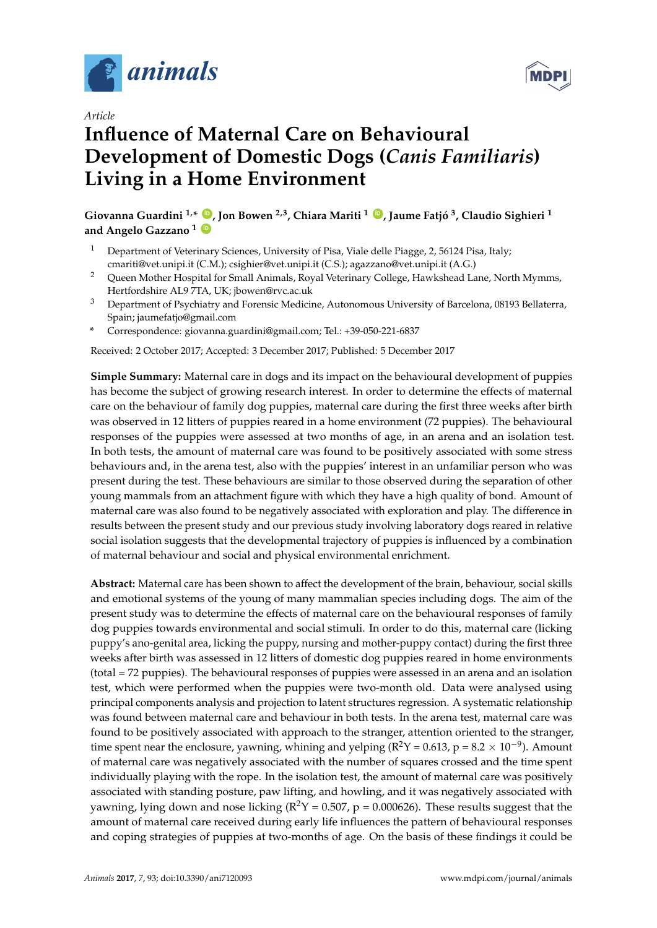

*Article*

# **Influence of Maternal Care on Behavioural Development of Domestic Dogs (***Canis Familiaris***) Living in a Home Environment**

**Giovanna Guardini 1,\* [ID](https://orcid.org/0000-0001-6747-0961) , Jon Bowen 2,3, Chiara Mariti <sup>1</sup> [ID](https://orcid.org/0000-0001-7127-4680) , Jaume Fatjó 3 , Claudio Sighieri <sup>1</sup> and Angelo Gazzano <sup>1</sup> [ID](https://orcid.org/0000-0001-9649-2027)**

- <sup>1</sup> Department of Veterinary Sciences, University of Pisa, Viale delle Piagge, 2, 56124 Pisa, Italy; cmariti@vet.unipi.it (C.M.); csighier@vet.unipi.it (C.S.); agazzano@vet.unipi.it (A.G.)
- <sup>2</sup> Queen Mother Hospital for Small Animals, Royal Veterinary College, Hawkshead Lane, North Mymms, Hertfordshire AL9 7TA, UK; jbowen@rvc.ac.uk
- <sup>3</sup> Department of Psychiatry and Forensic Medicine, Autonomous University of Barcelona, 08193 Bellaterra, Spain; jaumefatjo@gmail.com
- **\*** Correspondence: giovanna.guardini@gmail.com; Tel.: +39-050-221-6837

Received: 2 October 2017; Accepted: 3 December 2017; Published: 5 December 2017

**Simple Summary:** Maternal care in dogs and its impact on the behavioural development of puppies has become the subject of growing research interest. In order to determine the effects of maternal care on the behaviour of family dog puppies, maternal care during the first three weeks after birth was observed in 12 litters of puppies reared in a home environment (72 puppies). The behavioural responses of the puppies were assessed at two months of age, in an arena and an isolation test. In both tests, the amount of maternal care was found to be positively associated with some stress behaviours and, in the arena test, also with the puppies' interest in an unfamiliar person who was present during the test. These behaviours are similar to those observed during the separation of other young mammals from an attachment figure with which they have a high quality of bond. Amount of maternal care was also found to be negatively associated with exploration and play. The difference in results between the present study and our previous study involving laboratory dogs reared in relative social isolation suggests that the developmental trajectory of puppies is influenced by a combination of maternal behaviour and social and physical environmental enrichment.

**Abstract:** Maternal care has been shown to affect the development of the brain, behaviour, social skills and emotional systems of the young of many mammalian species including dogs. The aim of the present study was to determine the effects of maternal care on the behavioural responses of family dog puppies towards environmental and social stimuli. In order to do this, maternal care (licking puppy's ano-genital area, licking the puppy, nursing and mother-puppy contact) during the first three weeks after birth was assessed in 12 litters of domestic dog puppies reared in home environments (total = 72 puppies). The behavioural responses of puppies were assessed in an arena and an isolation test, which were performed when the puppies were two-month old. Data were analysed using principal components analysis and projection to latent structures regression. A systematic relationship was found between maternal care and behaviour in both tests. In the arena test, maternal care was found to be positively associated with approach to the stranger, attention oriented to the stranger, time spent near the enclosure, yawning, whining and yelping ( $R^2Y = 0.613$ ,  $p = 8.2 \times 10^{-9}$ ). Amount of maternal care was negatively associated with the number of squares crossed and the time spent individually playing with the rope. In the isolation test, the amount of maternal care was positively associated with standing posture, paw lifting, and howling, and it was negatively associated with yawning, lying down and nose licking  $(R^2Y = 0.507, p = 0.000626)$ . These results suggest that the amount of maternal care received during early life influences the pattern of behavioural responses and coping strategies of puppies at two-months of age. On the basis of these findings it could be

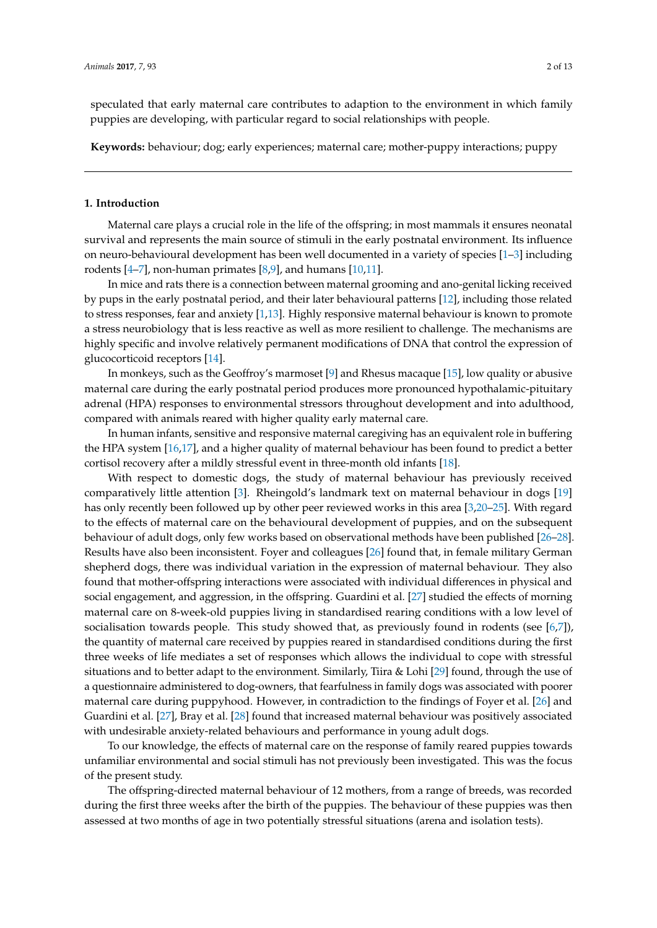speculated that early maternal care contributes to adaption to the environment in which family puppies are developing, with particular regard to social relationships with people.

**Keywords:** behaviour; dog; early experiences; maternal care; mother-puppy interactions; puppy

# **1. Introduction**

Maternal care plays a crucial role in the life of the offspring; in most mammals it ensures neonatal survival and represents the main source of stimuli in the early postnatal environment. Its influence on neuro-behavioural development has been well documented in a variety of species [\[1–](#page-10-0)[3\]](#page-10-1) including rodents [\[4–](#page-10-2)[7\]](#page-10-3), non-human primates [\[8](#page-10-4)[,9\]](#page-10-5), and humans [\[10](#page-10-6)[,11\]](#page-10-7).

In mice and rats there is a connection between maternal grooming and ano-genital licking received by pups in the early postnatal period, and their later behavioural patterns [\[12\]](#page-10-8), including those related to stress responses, fear and anxiety [\[1,](#page-10-0)[13\]](#page-10-9). Highly responsive maternal behaviour is known to promote a stress neurobiology that is less reactive as well as more resilient to challenge. The mechanisms are highly specific and involve relatively permanent modifications of DNA that control the expression of glucocorticoid receptors [\[14\]](#page-10-10).

In monkeys, such as the Geoffroy's marmoset [\[9\]](#page-10-5) and Rhesus macaque [\[15\]](#page-10-11), low quality or abusive maternal care during the early postnatal period produces more pronounced hypothalamic-pituitary adrenal (HPA) responses to environmental stressors throughout development and into adulthood, compared with animals reared with higher quality early maternal care.

In human infants, sensitive and responsive maternal caregiving has an equivalent role in buffering the HPA system [\[16,](#page-10-12)[17\]](#page-10-13), and a higher quality of maternal behaviour has been found to predict a better cortisol recovery after a mildly stressful event in three-month old infants [\[18\]](#page-10-14).

With respect to domestic dogs, the study of maternal behaviour has previously received comparatively little attention [\[3\]](#page-10-1). Rheingold's landmark text on maternal behaviour in dogs [\[19\]](#page-10-15) has only recently been followed up by other peer reviewed works in this area [\[3](#page-10-1)[,20–](#page-10-16)[25\]](#page-11-0). With regard to the effects of maternal care on the behavioural development of puppies, and on the subsequent behaviour of adult dogs, only few works based on observational methods have been published [\[26–](#page-11-1)[28\]](#page-11-2). Results have also been inconsistent. Foyer and colleagues [\[26\]](#page-11-1) found that, in female military German shepherd dogs, there was individual variation in the expression of maternal behaviour. They also found that mother-offspring interactions were associated with individual differences in physical and social engagement, and aggression, in the offspring. Guardini et al. [\[27\]](#page-11-3) studied the effects of morning maternal care on 8-week-old puppies living in standardised rearing conditions with a low level of socialisation towards people. This study showed that, as previously found in rodents (see [\[6,](#page-10-17)[7\]](#page-10-3)), the quantity of maternal care received by puppies reared in standardised conditions during the first three weeks of life mediates a set of responses which allows the individual to cope with stressful situations and to better adapt to the environment. Similarly, Tiira & Lohi [\[29\]](#page-11-4) found, through the use of a questionnaire administered to dog-owners, that fearfulness in family dogs was associated with poorer maternal care during puppyhood. However, in contradiction to the findings of Foyer et al. [\[26\]](#page-11-1) and Guardini et al. [\[27\]](#page-11-3), Bray et al. [\[28\]](#page-11-2) found that increased maternal behaviour was positively associated with undesirable anxiety-related behaviours and performance in young adult dogs.

To our knowledge, the effects of maternal care on the response of family reared puppies towards unfamiliar environmental and social stimuli has not previously been investigated. This was the focus of the present study.

The offspring-directed maternal behaviour of 12 mothers, from a range of breeds, was recorded during the first three weeks after the birth of the puppies. The behaviour of these puppies was then assessed at two months of age in two potentially stressful situations (arena and isolation tests).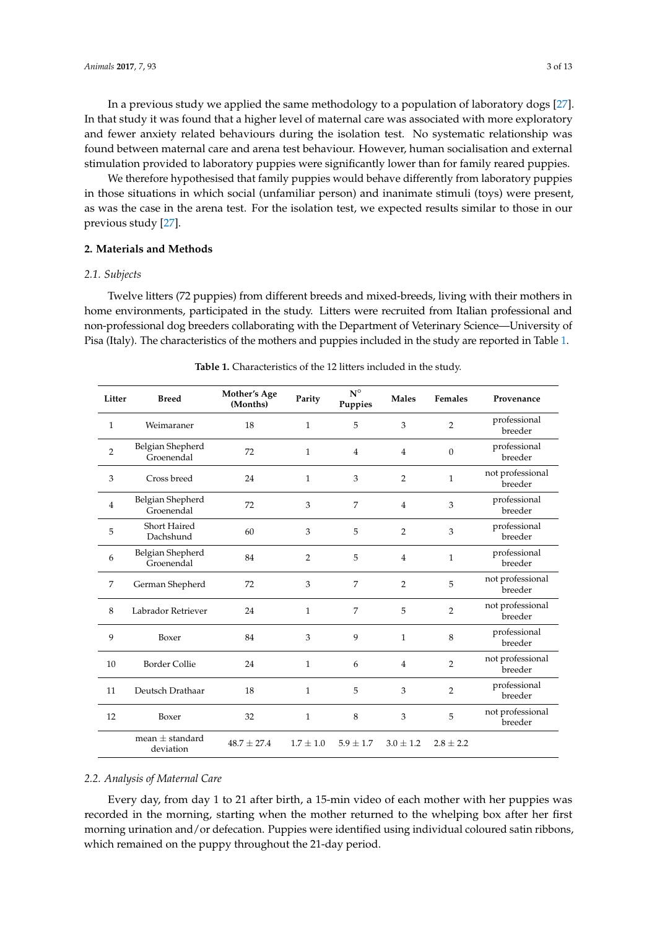In a previous study we applied the same methodology to a population of laboratory dogs [\[27\]](#page-11-3). In that study it was found that a higher level of maternal care was associated with more exploratory and fewer anxiety related behaviours during the isolation test. No systematic relationship was found between maternal care and arena test behaviour. However, human socialisation and external stimulation provided to laboratory puppies were significantly lower than for family reared puppies.

We therefore hypothesised that family puppies would behave differently from laboratory puppies in those situations in which social (unfamiliar person) and inanimate stimuli (toys) were present, as was the case in the arena test. For the isolation test, we expected results similar to those in our previous study [\[27\]](#page-11-3).

# **2. Materials and Methods**

# *2.1. Subjects*

Twelve litters (72 puppies) from different breeds and mixed-breeds, living with their mothers in home environments, participated in the study. Litters were recruited from Italian professional and non-professional dog breeders collaborating with the Department of Veterinary Science—University of Pisa (Italy). The characteristics of the mothers and puppies included in the study are reported in Table [1.](#page-2-0)

<span id="page-2-0"></span>

| Litter         | <b>Breed</b>                     | Mother's Age<br>(Months) | Parity         | $N^{\circ}$<br>Puppies | <b>Males</b>   | Females        | Provenance                  |
|----------------|----------------------------------|--------------------------|----------------|------------------------|----------------|----------------|-----------------------------|
| $\mathbf{1}$   | Weimaraner                       | 18                       | $\mathbf{1}$   | 5                      | 3              | $\overline{2}$ | professional<br>breeder     |
| $\overline{2}$ | Belgian Shepherd<br>Groenendal   | 72                       | $\mathbf{1}$   | $\overline{4}$         | $\overline{4}$ | $\mathbf{0}$   | professional<br>breeder     |
| 3              | Cross breed                      | 24                       | $\mathbf{1}$   | 3                      | $\overline{2}$ | $\mathbf{1}$   | not professional<br>breeder |
| $\overline{4}$ | Belgian Shepherd<br>Groenendal   | 72                       | 3              | 7                      | $\overline{4}$ | 3              | professional<br>breeder     |
| 5              | <b>Short Haired</b><br>Dachshund | 60                       | 3              | 5                      | 2              | 3              | professional<br>breeder     |
| 6              | Belgian Shepherd<br>Groenendal   | 84                       | $\overline{2}$ | 5                      | $\overline{4}$ | $\mathbf{1}$   | professional<br>breeder     |
| 7              | German Shepherd                  | 72                       | 3              | 7                      | $\overline{2}$ | 5              | not professional<br>breeder |
| 8              | Labrador Retriever               | 24                       | $\mathbf{1}$   | 7                      | 5              | $\overline{2}$ | not professional<br>breeder |
| 9              | Boxer                            | 84                       | 3              | 9                      | $\mathbf{1}$   | 8              | professional<br>breeder     |
| 10             | <b>Border Collie</b>             | 24                       | $\mathbf{1}$   | 6                      | $\overline{4}$ | $\overline{2}$ | not professional<br>breeder |
| 11             | Deutsch Drathaar                 | 18                       | $\mathbf{1}$   | 5                      | 3              | $\overline{2}$ | professional<br>breeder     |
| 12             | Boxer                            | 32                       | $\mathbf{1}$   | 8                      | 3              | 5              | not professional<br>breeder |
|                | mean $\pm$ standard<br>deviation | $48.7 \pm 27.4$          | $1.7 \pm 1.0$  | $5.9 \pm 1.7$          | $3.0 \pm 1.2$  | $2.8 \pm 2.2$  |                             |

| Table 1. Characteristics of the 12 litters included in the study. |  |
|-------------------------------------------------------------------|--|
|-------------------------------------------------------------------|--|

# *2.2. Analysis of Maternal Care*

Every day, from day 1 to 21 after birth, a 15-min video of each mother with her puppies was recorded in the morning, starting when the mother returned to the whelping box after her first morning urination and/or defecation. Puppies were identified using individual coloured satin ribbons, which remained on the puppy throughout the 21-day period.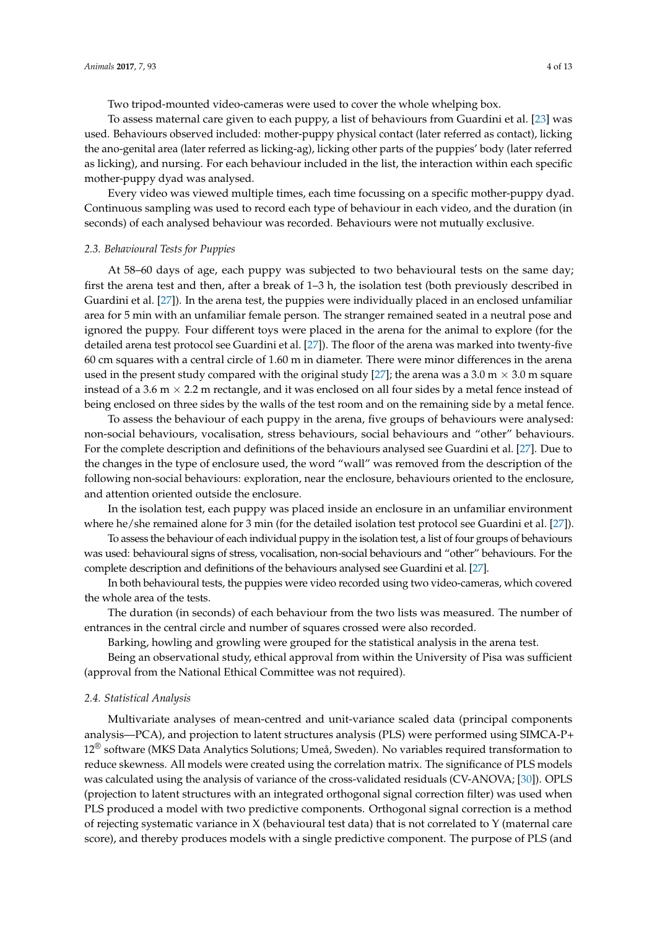Two tripod-mounted video-cameras were used to cover the whole whelping box.

To assess maternal care given to each puppy, a list of behaviours from Guardini et al. [\[23\]](#page-11-5) was used. Behaviours observed included: mother-puppy physical contact (later referred as contact), licking the ano-genital area (later referred as licking-ag), licking other parts of the puppies' body (later referred as licking), and nursing. For each behaviour included in the list, the interaction within each specific mother-puppy dyad was analysed.

Every video was viewed multiple times, each time focussing on a specific mother-puppy dyad. Continuous sampling was used to record each type of behaviour in each video, and the duration (in seconds) of each analysed behaviour was recorded. Behaviours were not mutually exclusive.

## *2.3. Behavioural Tests for Puppies*

At 58–60 days of age, each puppy was subjected to two behavioural tests on the same day; first the arena test and then, after a break of 1–3 h, the isolation test (both previously described in Guardini et al. [\[27\]](#page-11-3)). In the arena test, the puppies were individually placed in an enclosed unfamiliar area for 5 min with an unfamiliar female person. The stranger remained seated in a neutral pose and ignored the puppy. Four different toys were placed in the arena for the animal to explore (for the detailed arena test protocol see Guardini et al. [\[27\]](#page-11-3)). The floor of the arena was marked into twenty-five 60 cm squares with a central circle of 1.60 m in diameter. There were minor differences in the arena used in the present study compared with the original study [\[27\]](#page-11-3); the arena was a 3.0 m  $\times$  3.0 m square instead of a 3.6 m  $\times$  2.2 m rectangle, and it was enclosed on all four sides by a metal fence instead of being enclosed on three sides by the walls of the test room and on the remaining side by a metal fence.

To assess the behaviour of each puppy in the arena, five groups of behaviours were analysed: non-social behaviours, vocalisation, stress behaviours, social behaviours and "other" behaviours. For the complete description and definitions of the behaviours analysed see Guardini et al. [\[27\]](#page-11-3). Due to the changes in the type of enclosure used, the word "wall" was removed from the description of the following non-social behaviours: exploration, near the enclosure, behaviours oriented to the enclosure, and attention oriented outside the enclosure.

In the isolation test, each puppy was placed inside an enclosure in an unfamiliar environment where he/she remained alone for 3 min (for the detailed isolation test protocol see Guardini et al. [\[27\]](#page-11-3)).

To assess the behaviour of each individual puppy in the isolation test, a list of four groups of behaviours was used: behavioural signs of stress, vocalisation, non-social behaviours and "other" behaviours. For the complete description and definitions of the behaviours analysed see Guardini et al. [\[27\]](#page-11-3).

In both behavioural tests, the puppies were video recorded using two video-cameras, which covered the whole area of the tests.

The duration (in seconds) of each behaviour from the two lists was measured. The number of entrances in the central circle and number of squares crossed were also recorded.

Barking, howling and growling were grouped for the statistical analysis in the arena test.

Being an observational study, ethical approval from within the University of Pisa was sufficient (approval from the National Ethical Committee was not required).

# *2.4. Statistical Analysis*

Multivariate analyses of mean-centred and unit-variance scaled data (principal components analysis—PCA), and projection to latent structures analysis (PLS) were performed using SIMCA-P+ 12® software (MKS Data Analytics Solutions; Umeå, Sweden). No variables required transformation to reduce skewness. All models were created using the correlation matrix. The significance of PLS models was calculated using the analysis of variance of the cross-validated residuals (CV-ANOVA; [\[30\]](#page-11-6)). OPLS (projection to latent structures with an integrated orthogonal signal correction filter) was used when PLS produced a model with two predictive components. Orthogonal signal correction is a method of rejecting systematic variance in X (behavioural test data) that is not correlated to Y (maternal care score), and thereby produces models with a single predictive component. The purpose of PLS (and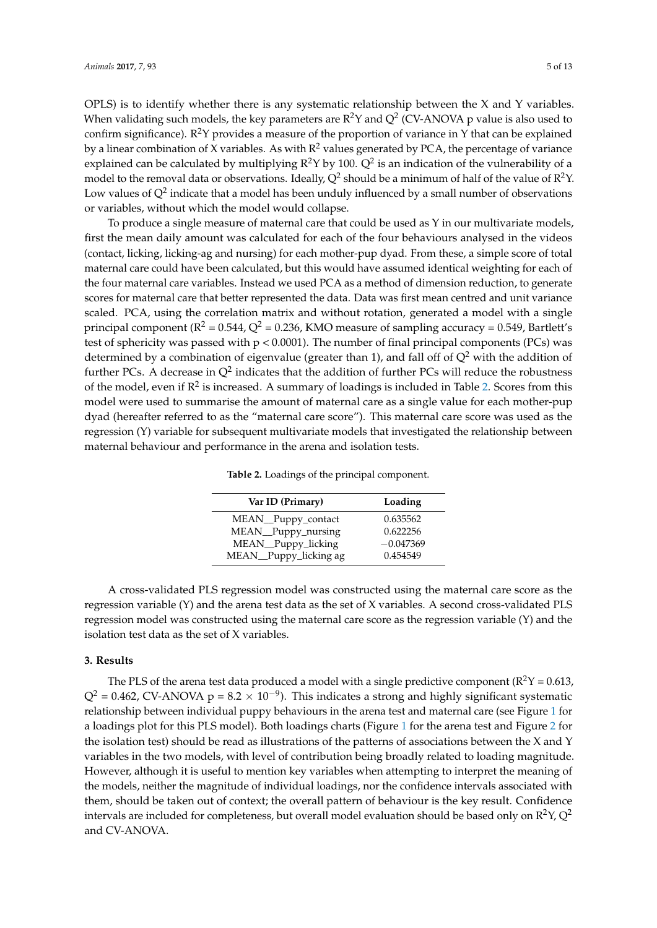OPLS) is to identify whether there is any systematic relationship between the X and Y variables. When validating such models, the key parameters are  $\mathsf{R}^2\mathsf{Y}$  and  $\mathsf{Q}^2$  (CV-ANOVA p value is also used to confirm significance).  $R^2Y$  provides a measure of the proportion of variance in Y that can be explained by a linear combination of X variables. As with  $R^2$  values generated by PCA, the percentage of variance explained can be calculated by multiplying  $R^2Y$  by 100.  $Q^2$  is an indication of the vulnerability of a model to the removal data or observations. Ideally, Q<sup>2</sup> should be a minimum of half of the value of R<sup>2</sup>Y. Low values of  $Q^2$  indicate that a model has been unduly influenced by a small number of observations or variables, without which the model would collapse.

To produce a single measure of maternal care that could be used as Y in our multivariate models, first the mean daily amount was calculated for each of the four behaviours analysed in the videos (contact, licking, licking-ag and nursing) for each mother-pup dyad. From these, a simple score of total maternal care could have been calculated, but this would have assumed identical weighting for each of the four maternal care variables. Instead we used PCA as a method of dimension reduction, to generate scores for maternal care that better represented the data. Data was first mean centred and unit variance scaled. PCA, using the correlation matrix and without rotation, generated a model with a single principal component ( $R^2 = 0.544$ ,  $Q^2 = 0.236$ , KMO measure of sampling accuracy = 0.549, Bartlett's test of sphericity was passed with  $p < 0.0001$ ). The number of final principal components (PCs) was determined by a combination of eigenvalue (greater than 1), and fall off of  $Q^2$  with the addition of further PCs. A decrease in  $Q^2$  indicates that the addition of further PCs will reduce the robustness of the model, even if  $R^2$  is increased. A summary of loadings is included in Table [2.](#page-4-0) Scores from this model were used to summarise the amount of maternal care as a single value for each mother-pup dyad (hereafter referred to as the "maternal care score"). This maternal care score was used as the regression (Y) variable for subsequent multivariate models that investigated the relationship between maternal behaviour and performance in the arena and isolation tests.

**Table 2.** Loadings of the principal component.

| Var ID (Primary)      | Loading     |  |  |
|-----------------------|-------------|--|--|
| MEAN_Puppy_contact    | 0.635562    |  |  |
| MEAN_Puppy_nursing    | 0.622256    |  |  |
| MEAN_Puppy_licking    | $-0.047369$ |  |  |
| MEAN_Puppy_licking ag | 0.454549    |  |  |

<span id="page-4-0"></span>A cross-validated PLS regression model was constructed using the maternal care score as the regression variable (Y) and the arena test data as the set of X variables. A second cross-validated PLS regression model was constructed using the maternal care score as the regression variable (Y) and the isolation test data as the set of X variables.

# **3. Results**

The PLS of the arena test data produced a model with a single predictive component ( $R^2Y = 0.613$ ,  $Q^2$  = 0.462, CV-ANOVA p = 8.2  $\times$  10<sup>-9</sup>). This indicates a strong and highly significant systematic relationship between individual puppy behaviours in the arena test and maternal care (see Figure [1](#page-5-0) for a loadings plot for this PLS model). Both loadings charts (Figure [1](#page-5-0) for the arena test and Figure [2](#page-6-0) for the isolation test) should be read as illustrations of the patterns of associations between the X and Y variables in the two models, with level of contribution being broadly related to loading magnitude. However, although it is useful to mention key variables when attempting to interpret the meaning of the models, neither the magnitude of individual loadings, nor the confidence intervals associated with them, should be taken out of context; the overall pattern of behaviour is the key result. Confidence intervals are included for completeness, but overall model evaluation should be based only on  $R^2Y$ ,  $Q^2$ and CV-ANOVA.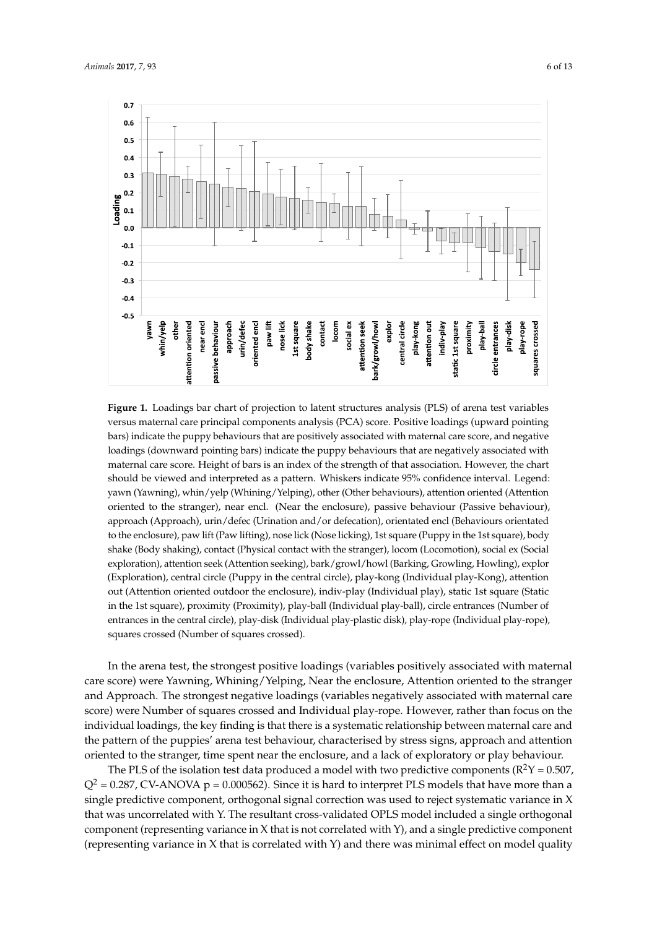<span id="page-5-0"></span> $0.7$  $0.6$  $0.5$  $0.4$  $0.3$ 

 $\begin{array}{c}\n\text{Loading} \\
\text{Loading} \\
\text{S} \\
\text{S} \\
\text{S} \\
\text{S} \\
\text{S} \\
\text{S} \\
\text{S} \\
\text{S} \\
\text{S} \\
\text{S} \\
\text{S} \\
\text{S} \\
\text{S} \\
\text{S} \\
\text{S} \\
\text{S} \\
\text{S} \\
\text{S} \\
\text{S} \\
\text{S} \\
\text{S} \\
\text{S} \\
\text{S} \\
\text{S} \\
\text{S} \\
\text{S} \\
\text{S} \\
\text{S} \\
\text{S} \\
\text{S} \\
\text{S} \\
\text{S} \\
\text{S$  $0.0$  $-0.1$  $-0.2$  $-0.3$  $-0.4$  $-0.5$ 

nwey

whin/yelp

other

near end passive behaviour approach urin/defec

attention orientec



explor central circle

play-kong attention out indiv-play play-ball

circle entrances play-disk play-rope squares crossed

proximity

static 1st square

**Figure 1.** Loadings bar chart of projection to latent structures analysis (PLS) of arena test variables **Figure 1.** Loadings bar chart of projection to latent structures analysis (PLS) of arena test variables versus maternal care principal components analysis (PCA) score. Positive loadings (upward pointing bars) indicate the puppy behaviours that are positively associated with maternal care score, and negative loadings (downward pointing bars) indicate the puppy behaviours that are negatively associated with maternal care score. Height of bars is an index of the strength of that association. However, the chart should be viewed and interpreted as a pattern. Whiskers indicate 95% confidence interval. Legend: yawn (Yawning), whin/yelp (Whining/Yelping), other (Other behaviours), attention oriented (Attention oriented to the stranger), near encl. (Near the enclosure), passive behaviour (Passive behaviour), approach (Approach), urin/defec (Urination and/or defecation), orientated encl (Behaviours orientated to the enclosure), paw lift (Paw lifting), nose lick (Nose licking), 1st square (Puppy in the 1st square), body  $\mathcal{L}$  . The comotion of  $\mathcal{L}$  is the comotion set (Social exploration seeking), at the compact  $\mathcal{L}$ shake (Body shaking), contact (Physical contact with the stranger), locom (Locomotion), social ex (Social  $\frac{1}{2}$ exploration), attention seek (Attention seeking), bark/growl/howl (Barking, Growling, Howling), explor (Exploration), central circle (Puppy in the central circle), play-kong (Individual play-Kong), attention out (Attention oriented outdoor the enclosure), indiv-play (Individual play), static 1st square (Static in the 1st square), proximity (Proximity), play-ball (Individual play-ball), circle entrances (Number of entrances in the central circle), play-disk (Individual play-plastic disk), play-rope (Individual play-rope), squares crossed (Number of squares crossed).

locom

social ex attention seek hworl/worg/ylacc

paw lift

nose lick

1st square body shake contact

priented encl

care score) were Yawning, Whining/Yelping, Near the enclosure, Attention oriented to the stranger In the arena test, the strongest positive loadings (variables positively associated with maternal care score) were Yawning, Whining/Yelping, Near the enclosure, Attention oriented to the stranger and Approach. The strongest negative loadings (variables negatively associated with maternal care score) were Number of squares crossed and Individual play-rope. However, rather than focus on the individual loadings, the key finding is that there is a systematic relationship between maternal care and the pattern of the puppies' arena test behaviour, characterised by stress signs, approach and attention oriented to the stranger, time spent near the enclosure, and a lack of exploratory or play behaviour.

In the arena test, the strongest positive loadings (variables positively associated with maternal

The PLS of the isolation test data produced a model with two predictive components ( $R^2Y = 0.507$ ,  $Q^2 = 0.287$ , CV-ANOVA p = 0.000562). Since it is hard to interpret PLS models that have more than a  $\zeta = 0.267$ , CV THO VIVP = 0.000002). Since it is nard to merpret TES models and nave more than a single predictive component, orthogonal signal correction was used to reject systematic variance in X that was uncorrelated with Y. The resultant cross-validated OPLS model included a single orthogonal component (representing variance in X that is not correlated with Y), and a single predictive component (representing variance in X that is correlated with Y) and there was minimal effect on model quality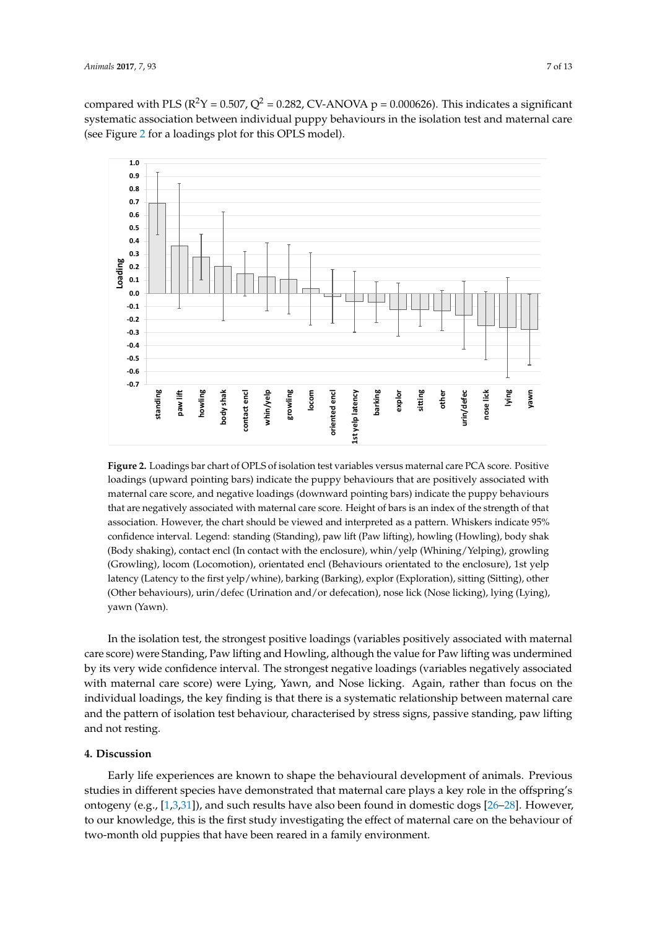compared with PLS ( $R^2Y = 0.507$ ,  $Q^2 = 0.282$ , CV-ANOVA  $p = 0.000626$ ). This indicates a significant systematic association between individual puppy behaviours in the isolation test and maternal care (see Figure [2](#page-6-0) for a loadings plot for this OPLS model).  $t_{\text{g}}$  and  $\frac{1}{2}$  for a loadings plot for this OPLS model).

<span id="page-6-0"></span>

**Figure 2.** Loadings bar chart of OPLS of isolation test variables versus maternal care PCA score. **Figure 2.** Loadings bar chart of OPLS of isolation test variables versus maternal care PCA score. Positive Positive loadings war chartver of the problement test that are puppy behaviours that are problement of loadings (upward pointing bars) indicate the puppy behaviours that are positively associated with maternal care score, and negative loadings (downward pointing bars) indicate the puppy behaviours that are negatively associated with maternal care score. Height of bars is an index of the strength of that association. However, the chart should be viewed and interpreted as a pattern. Whiskers indicate 95% confidence interval. Legend: standing (Standing), paw lift (Paw lifting), howling (Howling), body shak (Body shaking), contact encl (In contact with the enclosure), whin/yelp (Whining/Yelping), growling (Growling), locom (Locomotion), orientated encl (Behaviours orientated to the enclosure), 1st yelp latency (Latency to the first yelp/whine), barking (Barking), explor (Exploration), sitting (Sitting), other (Other behaviours), urin/defec (Urination and/or defecation), nose lick (Nose licking), lying (Lying),  $I<sub>1</sub>$  the strongest positive loading  $\frac{1}{2}$ yawn (Yawn).

In the isolation test, the strongest positive loadings (variables positively associated with maternal care score) were Standing, Paw lifting and Howling, although the value for Paw lifting was undermined by its very wide confidence interval. The strongest negative loadings (variables negatively associated with maternal care score) were Lying, Yawn, and Nose licking. Again, rather than focus on the individual loadings, the key finding is that there is a systematic relationship between maternal care and the pattern of isolation test behaviour, characterised by stress signs, passive standing, paw lifting  $E_{\rm e}$  is shape the behavioural development of animals. Previous of animals. Previously  $E_{\rm e}$ and not resting.

### $s \text{cussion}$ **4. Discussion**

Early life experiences are known to shape the behavioural development of animals. Previous studies in different species have demonstrated that maternal care plays a key role in the offspring's ontogeny (e.g.,  $[1,3,31]$  $[1,3,31]$  $[1,3,31]$ ), and such results have also been found in domestic dogs  $[26-28]$  $[26-28]$ . However, to our knowledge, this is the first study investigating the effect of maternal care on the behaviour of two-month old puppies that have been reared in a family environment.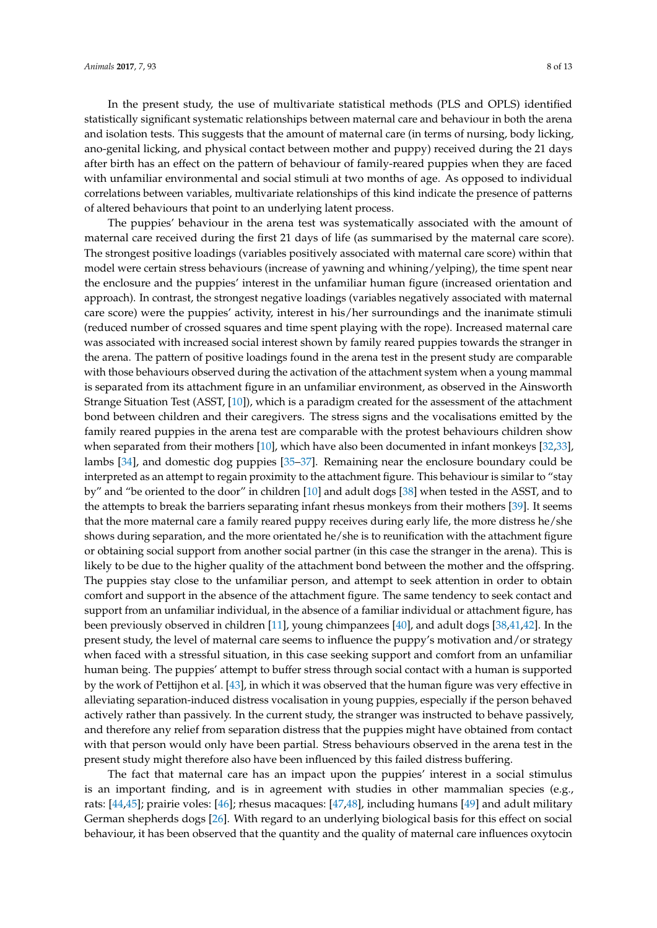In the present study, the use of multivariate statistical methods (PLS and OPLS) identified statistically significant systematic relationships between maternal care and behaviour in both the arena and isolation tests. This suggests that the amount of maternal care (in terms of nursing, body licking, ano-genital licking, and physical contact between mother and puppy) received during the 21 days after birth has an effect on the pattern of behaviour of family-reared puppies when they are faced with unfamiliar environmental and social stimuli at two months of age. As opposed to individual correlations between variables, multivariate relationships of this kind indicate the presence of patterns of altered behaviours that point to an underlying latent process.

The puppies' behaviour in the arena test was systematically associated with the amount of maternal care received during the first 21 days of life (as summarised by the maternal care score). The strongest positive loadings (variables positively associated with maternal care score) within that model were certain stress behaviours (increase of yawning and whining/yelping), the time spent near the enclosure and the puppies' interest in the unfamiliar human figure (increased orientation and approach). In contrast, the strongest negative loadings (variables negatively associated with maternal care score) were the puppies' activity, interest in his/her surroundings and the inanimate stimuli (reduced number of crossed squares and time spent playing with the rope). Increased maternal care was associated with increased social interest shown by family reared puppies towards the stranger in the arena. The pattern of positive loadings found in the arena test in the present study are comparable with those behaviours observed during the activation of the attachment system when a young mammal is separated from its attachment figure in an unfamiliar environment, as observed in the Ainsworth Strange Situation Test (ASST, [\[10\]](#page-10-6)), which is a paradigm created for the assessment of the attachment bond between children and their caregivers. The stress signs and the vocalisations emitted by the family reared puppies in the arena test are comparable with the protest behaviours children show when separated from their mothers [\[10\]](#page-10-6), which have also been documented in infant monkeys [\[32](#page-11-8)[,33\]](#page-11-9), lambs [\[34\]](#page-11-10), and domestic dog puppies [\[35](#page-11-11)[–37\]](#page-11-12). Remaining near the enclosure boundary could be interpreted as an attempt to regain proximity to the attachment figure. This behaviour is similar to "stay by" and "be oriented to the door" in children [\[10\]](#page-10-6) and adult dogs [\[38\]](#page-11-13) when tested in the ASST, and to the attempts to break the barriers separating infant rhesus monkeys from their mothers [\[39\]](#page-11-14). It seems that the more maternal care a family reared puppy receives during early life, the more distress he/she shows during separation, and the more orientated he/she is to reunification with the attachment figure or obtaining social support from another social partner (in this case the stranger in the arena). This is likely to be due to the higher quality of the attachment bond between the mother and the offspring. The puppies stay close to the unfamiliar person, and attempt to seek attention in order to obtain comfort and support in the absence of the attachment figure. The same tendency to seek contact and support from an unfamiliar individual, in the absence of a familiar individual or attachment figure, has been previously observed in children [\[11\]](#page-10-7), young chimpanzees [\[40\]](#page-11-15), and adult dogs [\[38](#page-11-13)[,41](#page-11-16)[,42\]](#page-11-17). In the present study, the level of maternal care seems to influence the puppy's motivation and/or strategy when faced with a stressful situation, in this case seeking support and comfort from an unfamiliar human being. The puppies' attempt to buffer stress through social contact with a human is supported by the work of Pettijhon et al. [\[43\]](#page-11-18), in which it was observed that the human figure was very effective in alleviating separation-induced distress vocalisation in young puppies, especially if the person behaved actively rather than passively. In the current study, the stranger was instructed to behave passively, and therefore any relief from separation distress that the puppies might have obtained from contact with that person would only have been partial. Stress behaviours observed in the arena test in the present study might therefore also have been influenced by this failed distress buffering.

The fact that maternal care has an impact upon the puppies' interest in a social stimulus is an important finding, and is in agreement with studies in other mammalian species (e.g., rats: [\[44](#page-11-19)[,45\]](#page-11-20); prairie voles: [\[46\]](#page-12-0); rhesus macaques: [\[47,](#page-12-1)[48\]](#page-12-2), including humans [\[49\]](#page-12-3) and adult military German shepherds dogs [\[26\]](#page-11-1). With regard to an underlying biological basis for this effect on social behaviour, it has been observed that the quantity and the quality of maternal care influences oxytocin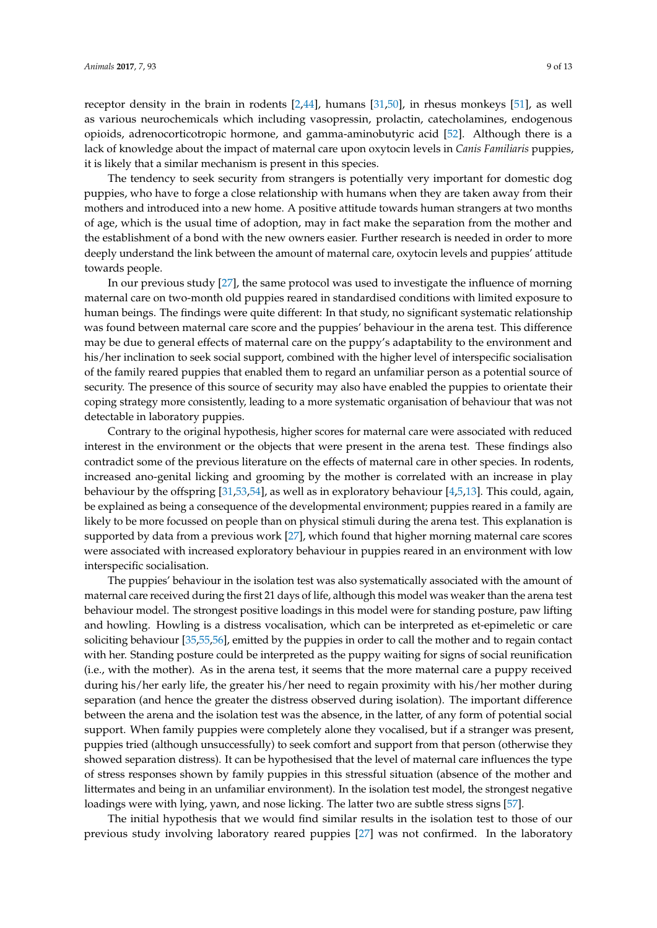receptor density in the brain in rodents [\[2](#page-10-18)[,44\]](#page-11-19), humans [\[31](#page-11-7)[,50\]](#page-12-4), in rhesus monkeys [\[51\]](#page-12-5), as well as various neurochemicals which including vasopressin, prolactin, catecholamines, endogenous opioids, adrenocorticotropic hormone, and gamma-aminobutyric acid [\[52\]](#page-12-6). Although there is a lack of knowledge about the impact of maternal care upon oxytocin levels in *Canis Familiaris* puppies, it is likely that a similar mechanism is present in this species.

The tendency to seek security from strangers is potentially very important for domestic dog puppies, who have to forge a close relationship with humans when they are taken away from their mothers and introduced into a new home. A positive attitude towards human strangers at two months of age, which is the usual time of adoption, may in fact make the separation from the mother and the establishment of a bond with the new owners easier. Further research is needed in order to more deeply understand the link between the amount of maternal care, oxytocin levels and puppies' attitude towards people.

In our previous study [\[27\]](#page-11-3), the same protocol was used to investigate the influence of morning maternal care on two-month old puppies reared in standardised conditions with limited exposure to human beings. The findings were quite different: In that study, no significant systematic relationship was found between maternal care score and the puppies' behaviour in the arena test. This difference may be due to general effects of maternal care on the puppy's adaptability to the environment and his/her inclination to seek social support, combined with the higher level of interspecific socialisation of the family reared puppies that enabled them to regard an unfamiliar person as a potential source of security. The presence of this source of security may also have enabled the puppies to orientate their coping strategy more consistently, leading to a more systematic organisation of behaviour that was not detectable in laboratory puppies.

Contrary to the original hypothesis, higher scores for maternal care were associated with reduced interest in the environment or the objects that were present in the arena test. These findings also contradict some of the previous literature on the effects of maternal care in other species. In rodents, increased ano-genital licking and grooming by the mother is correlated with an increase in play behaviour by the offspring [\[31](#page-11-7)[,53](#page-12-7)[,54\]](#page-12-8), as well as in exploratory behaviour [\[4,](#page-10-2)[5,](#page-10-19)[13\]](#page-10-9). This could, again, be explained as being a consequence of the developmental environment; puppies reared in a family are likely to be more focussed on people than on physical stimuli during the arena test. This explanation is supported by data from a previous work [\[27\]](#page-11-3), which found that higher morning maternal care scores were associated with increased exploratory behaviour in puppies reared in an environment with low interspecific socialisation.

The puppies' behaviour in the isolation test was also systematically associated with the amount of maternal care received during the first 21 days of life, although this model was weaker than the arena test behaviour model. The strongest positive loadings in this model were for standing posture, paw lifting and howling. Howling is a distress vocalisation, which can be interpreted as et-epimeletic or care soliciting behaviour [\[35](#page-11-11)[,55,](#page-12-9)[56\]](#page-12-10), emitted by the puppies in order to call the mother and to regain contact with her. Standing posture could be interpreted as the puppy waiting for signs of social reunification (i.e., with the mother). As in the arena test, it seems that the more maternal care a puppy received during his/her early life, the greater his/her need to regain proximity with his/her mother during separation (and hence the greater the distress observed during isolation). The important difference between the arena and the isolation test was the absence, in the latter, of any form of potential social support. When family puppies were completely alone they vocalised, but if a stranger was present, puppies tried (although unsuccessfully) to seek comfort and support from that person (otherwise they showed separation distress). It can be hypothesised that the level of maternal care influences the type of stress responses shown by family puppies in this stressful situation (absence of the mother and littermates and being in an unfamiliar environment). In the isolation test model, the strongest negative loadings were with lying, yawn, and nose licking. The latter two are subtle stress signs [\[57\]](#page-12-11).

The initial hypothesis that we would find similar results in the isolation test to those of our previous study involving laboratory reared puppies [\[27\]](#page-11-3) was not confirmed. In the laboratory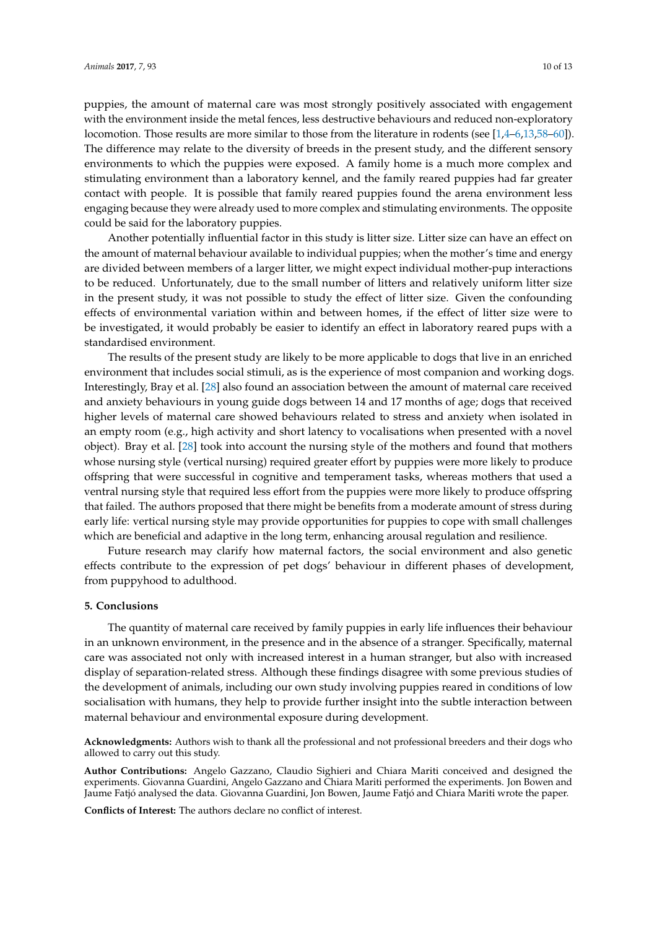puppies, the amount of maternal care was most strongly positively associated with engagement with the environment inside the metal fences, less destructive behaviours and reduced non-exploratory locomotion. Those results are more similar to those from the literature in rodents (see [\[1,](#page-10-0)[4–](#page-10-2)[6](#page-10-17)[,13](#page-10-9)[,58–](#page-12-12)[60\]](#page-12-13)). The difference may relate to the diversity of breeds in the present study, and the different sensory environments to which the puppies were exposed. A family home is a much more complex and stimulating environment than a laboratory kennel, and the family reared puppies had far greater contact with people. It is possible that family reared puppies found the arena environment less engaging because they were already used to more complex and stimulating environments. The opposite could be said for the laboratory puppies.

Another potentially influential factor in this study is litter size. Litter size can have an effect on the amount of maternal behaviour available to individual puppies; when the mother's time and energy are divided between members of a larger litter, we might expect individual mother-pup interactions to be reduced. Unfortunately, due to the small number of litters and relatively uniform litter size in the present study, it was not possible to study the effect of litter size. Given the confounding effects of environmental variation within and between homes, if the effect of litter size were to be investigated, it would probably be easier to identify an effect in laboratory reared pups with a standardised environment.

The results of the present study are likely to be more applicable to dogs that live in an enriched environment that includes social stimuli, as is the experience of most companion and working dogs. Interestingly, Bray et al. [\[28\]](#page-11-2) also found an association between the amount of maternal care received and anxiety behaviours in young guide dogs between 14 and 17 months of age; dogs that received higher levels of maternal care showed behaviours related to stress and anxiety when isolated in an empty room (e.g., high activity and short latency to vocalisations when presented with a novel object). Bray et al. [\[28\]](#page-11-2) took into account the nursing style of the mothers and found that mothers whose nursing style (vertical nursing) required greater effort by puppies were more likely to produce offspring that were successful in cognitive and temperament tasks, whereas mothers that used a ventral nursing style that required less effort from the puppies were more likely to produce offspring that failed. The authors proposed that there might be benefits from a moderate amount of stress during early life: vertical nursing style may provide opportunities for puppies to cope with small challenges which are beneficial and adaptive in the long term, enhancing arousal regulation and resilience.

Future research may clarify how maternal factors, the social environment and also genetic effects contribute to the expression of pet dogs' behaviour in different phases of development, from puppyhood to adulthood.

# **5. Conclusions**

The quantity of maternal care received by family puppies in early life influences their behaviour in an unknown environment, in the presence and in the absence of a stranger. Specifically, maternal care was associated not only with increased interest in a human stranger, but also with increased display of separation-related stress. Although these findings disagree with some previous studies of the development of animals, including our own study involving puppies reared in conditions of low socialisation with humans, they help to provide further insight into the subtle interaction between maternal behaviour and environmental exposure during development.

**Acknowledgments:** Authors wish to thank all the professional and not professional breeders and their dogs who allowed to carry out this study.

**Author Contributions:** Angelo Gazzano, Claudio Sighieri and Chiara Mariti conceived and designed the experiments. Giovanna Guardini, Angelo Gazzano and Chiara Mariti performed the experiments. Jon Bowen and Jaume Fatjó analysed the data. Giovanna Guardini, Jon Bowen, Jaume Fatjó and Chiara Mariti wrote the paper.

**Conflicts of Interest:** The authors declare no conflict of interest.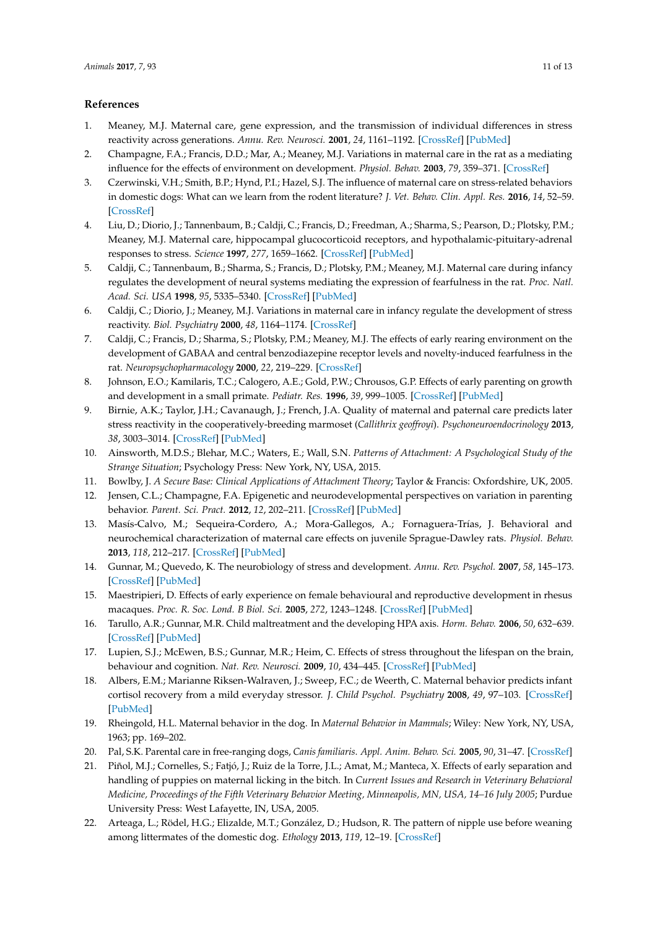# **References**

- <span id="page-10-0"></span>1. Meaney, M.J. Maternal care, gene expression, and the transmission of individual differences in stress reactivity across generations. *Annu. Rev. Neurosci.* **2001**, *24*, 1161–1192. [\[CrossRef\]](http://dx.doi.org/10.1146/annurev.neuro.24.1.1161) [\[PubMed\]](http://www.ncbi.nlm.nih.gov/pubmed/11520931)
- <span id="page-10-18"></span>2. Champagne, F.A.; Francis, D.D.; Mar, A.; Meaney, M.J. Variations in maternal care in the rat as a mediating influence for the effects of environment on development. *Physiol. Behav.* **2003**, *79*, 359–371. [\[CrossRef\]](http://dx.doi.org/10.1016/S0031-9384(03)00149-5)
- <span id="page-10-1"></span>3. Czerwinski, V.H.; Smith, B.P.; Hynd, P.I.; Hazel, S.J. The influence of maternal care on stress-related behaviors in domestic dogs: What can we learn from the rodent literature? *J. Vet. Behav. Clin. Appl. Res.* **2016**, *14*, 52–59. [\[CrossRef\]](http://dx.doi.org/10.1016/j.jveb.2016.05.003)
- <span id="page-10-2"></span>4. Liu, D.; Diorio, J.; Tannenbaum, B.; Caldji, C.; Francis, D.; Freedman, A.; Sharma, S.; Pearson, D.; Plotsky, P.M.; Meaney, M.J. Maternal care, hippocampal glucocorticoid receptors, and hypothalamic-pituitary-adrenal responses to stress. *Science* **1997**, *277*, 1659–1662. [\[CrossRef\]](http://dx.doi.org/10.1126/science.277.5332.1659) [\[PubMed\]](http://www.ncbi.nlm.nih.gov/pubmed/9287218)
- <span id="page-10-19"></span>5. Caldji, C.; Tannenbaum, B.; Sharma, S.; Francis, D.; Plotsky, P.M.; Meaney, M.J. Maternal care during infancy regulates the development of neural systems mediating the expression of fearfulness in the rat. *Proc. Natl. Acad. Sci. USA* **1998**, *95*, 5335–5340. [\[CrossRef\]](http://dx.doi.org/10.1073/pnas.95.9.5335) [\[PubMed\]](http://www.ncbi.nlm.nih.gov/pubmed/9560276)
- <span id="page-10-17"></span>6. Caldji, C.; Diorio, J.; Meaney, M.J. Variations in maternal care in infancy regulate the development of stress reactivity. *Biol. Psychiatry* **2000**, *48*, 1164–1174. [\[CrossRef\]](http://dx.doi.org/10.1016/S0006-3223(00)01084-2)
- <span id="page-10-3"></span>7. Caldji, C.; Francis, D.; Sharma, S.; Plotsky, P.M.; Meaney, M.J. The effects of early rearing environment on the development of GABAA and central benzodiazepine receptor levels and novelty-induced fearfulness in the rat. *Neuropsychopharmacology* **2000**, *22*, 219–229. [\[CrossRef\]](http://dx.doi.org/10.1016/S0893-133X(99)00110-4)
- <span id="page-10-4"></span>8. Johnson, E.O.; Kamilaris, T.C.; Calogero, A.E.; Gold, P.W.; Chrousos, G.P. Effects of early parenting on growth and development in a small primate. *Pediatr. Res.* **1996**, *39*, 999–1005. [\[CrossRef\]](http://dx.doi.org/10.1203/00006450-199606000-00012) [\[PubMed\]](http://www.ncbi.nlm.nih.gov/pubmed/8725261)
- <span id="page-10-5"></span>9. Birnie, A.K.; Taylor, J.H.; Cavanaugh, J.; French, J.A. Quality of maternal and paternal care predicts later stress reactivity in the cooperatively-breeding marmoset (*Callithrix geoffroyi*). *Psychoneuroendocrinology* **2013**, *38*, 3003–3014. [\[CrossRef\]](http://dx.doi.org/10.1016/j.psyneuen.2013.08.011) [\[PubMed\]](http://www.ncbi.nlm.nih.gov/pubmed/24099861)
- <span id="page-10-6"></span>10. Ainsworth, M.D.S.; Blehar, M.C.; Waters, E.; Wall, S.N. *Patterns of Attachment: A Psychological Study of the Strange Situation*; Psychology Press: New York, NY, USA, 2015.
- <span id="page-10-7"></span>11. Bowlby, J. *A Secure Base: Clinical Applications of Attachment Theory*; Taylor & Francis: Oxfordshire, UK, 2005.
- <span id="page-10-8"></span>12. Jensen, C.L.; Champagne, F.A. Epigenetic and neurodevelopmental perspectives on variation in parenting behavior. *Parent. Sci. Pract.* **2012**, *12*, 202–211. [\[CrossRef\]](http://dx.doi.org/10.1080/15295192.2012.683358) [\[PubMed\]](http://www.ncbi.nlm.nih.gov/pubmed/23162380)
- <span id="page-10-9"></span>13. Masís-Calvo, M.; Sequeira-Cordero, A.; Mora-Gallegos, A.; Fornaguera-Trías, J. Behavioral and neurochemical characterization of maternal care effects on juvenile Sprague-Dawley rats. *Physiol. Behav.* **2013**, *118*, 212–217. [\[CrossRef\]](http://dx.doi.org/10.1016/j.physbeh.2013.05.033) [\[PubMed\]](http://www.ncbi.nlm.nih.gov/pubmed/23711565)
- <span id="page-10-10"></span>14. Gunnar, M.; Quevedo, K. The neurobiology of stress and development. *Annu. Rev. Psychol.* **2007**, *58*, 145–173. [\[CrossRef\]](http://dx.doi.org/10.1146/annurev.psych.58.110405.085605) [\[PubMed\]](http://www.ncbi.nlm.nih.gov/pubmed/16903808)
- <span id="page-10-11"></span>15. Maestripieri, D. Effects of early experience on female behavioural and reproductive development in rhesus macaques. *Proc. R. Soc. Lond. B Biol. Sci.* **2005**, *272*, 1243–1248. [\[CrossRef\]](http://dx.doi.org/10.1098/rspb.2005.3059) [\[PubMed\]](http://www.ncbi.nlm.nih.gov/pubmed/16024388)
- <span id="page-10-12"></span>16. Tarullo, A.R.; Gunnar, M.R. Child maltreatment and the developing HPA axis. *Horm. Behav.* **2006**, *50*, 632–639. [\[CrossRef\]](http://dx.doi.org/10.1016/j.yhbeh.2006.06.010) [\[PubMed\]](http://www.ncbi.nlm.nih.gov/pubmed/16876168)
- <span id="page-10-13"></span>17. Lupien, S.J.; McEwen, B.S.; Gunnar, M.R.; Heim, C. Effects of stress throughout the lifespan on the brain, behaviour and cognition. *Nat. Rev. Neurosci.* **2009**, *10*, 434–445. [\[CrossRef\]](http://dx.doi.org/10.1038/nrn2639) [\[PubMed\]](http://www.ncbi.nlm.nih.gov/pubmed/19401723)
- <span id="page-10-14"></span>18. Albers, E.M.; Marianne Riksen-Walraven, J.; Sweep, F.C.; de Weerth, C. Maternal behavior predicts infant cortisol recovery from a mild everyday stressor. *J. Child Psychol. Psychiatry* **2008**, *49*, 97–103. [\[CrossRef\]](http://dx.doi.org/10.1111/j.1469-7610.2007.01818.x) [\[PubMed\]](http://www.ncbi.nlm.nih.gov/pubmed/18181883)
- <span id="page-10-15"></span>19. Rheingold, H.L. Maternal behavior in the dog. In *Maternal Behavior in Mammals*; Wiley: New York, NY, USA, 1963; pp. 169–202.
- <span id="page-10-16"></span>20. Pal, S.K. Parental care in free-ranging dogs, *Canis familiaris*. *Appl. Anim. Behav. Sci.* **2005**, *90*, 31–47. [\[CrossRef\]](http://dx.doi.org/10.1016/j.applanim.2004.08.002)
- 21. Piñol, M.J.; Cornelles, S.; Fatjó, J.; Ruiz de la Torre, J.L.; Amat, M.; Manteca, X. Effects of early separation and handling of puppies on maternal licking in the bitch. In *Current Issues and Research in Veterinary Behavioral Medicine, Proceedings of the Fifth Veterinary Behavior Meeting, Minneapolis, MN, USA, 14–16 July 2005*; Purdue University Press: West Lafayette, IN, USA, 2005.
- 22. Arteaga, L.; Rödel, H.G.; Elizalde, M.T.; González, D.; Hudson, R. The pattern of nipple use before weaning among littermates of the domestic dog. *Ethology* **2013**, *119*, 12–19. [\[CrossRef\]](http://dx.doi.org/10.1111/eth.12030)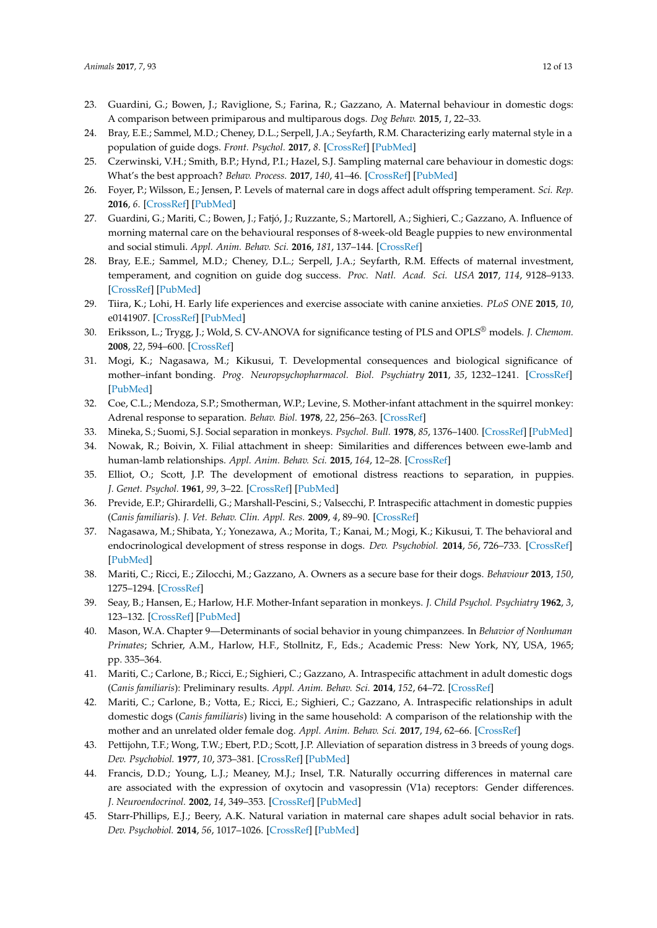- <span id="page-11-5"></span>23. Guardini, G.; Bowen, J.; Raviglione, S.; Farina, R.; Gazzano, A. Maternal behaviour in domestic dogs: A comparison between primiparous and multiparous dogs. *Dog Behav.* **2015**, *1*, 22–33.
- 24. Bray, E.E.; Sammel, M.D.; Cheney, D.L.; Serpell, J.A.; Seyfarth, R.M. Characterizing early maternal style in a population of guide dogs. *Front. Psychol.* **2017**, *8*. [\[CrossRef\]](http://dx.doi.org/10.3389/fpsyg.2017.00175) [\[PubMed\]](http://www.ncbi.nlm.nih.gov/pubmed/28239365)
- <span id="page-11-0"></span>25. Czerwinski, V.H.; Smith, B.P.; Hynd, P.I.; Hazel, S.J. Sampling maternal care behaviour in domestic dogs: What's the best approach? *Behav. Process.* **2017**, *140*, 41–46. [\[CrossRef\]](http://dx.doi.org/10.1016/j.beproc.2017.03.018) [\[PubMed\]](http://www.ncbi.nlm.nih.gov/pubmed/28343988)
- <span id="page-11-1"></span>26. Foyer, P.; Wilsson, E.; Jensen, P. Levels of maternal care in dogs affect adult offspring temperament. *Sci. Rep.* **2016**, *6*. [\[CrossRef\]](http://dx.doi.org/10.1038/srep19253) [\[PubMed\]](http://www.ncbi.nlm.nih.gov/pubmed/26758076)
- <span id="page-11-3"></span>27. Guardini, G.; Mariti, C.; Bowen, J.; Fatjó, J.; Ruzzante, S.; Martorell, A.; Sighieri, C.; Gazzano, A. Influence of morning maternal care on the behavioural responses of 8-week-old Beagle puppies to new environmental and social stimuli. *Appl. Anim. Behav. Sci.* **2016**, *181*, 137–144. [\[CrossRef\]](http://dx.doi.org/10.1016/j.applanim.2016.05.006)
- <span id="page-11-2"></span>28. Bray, E.E.; Sammel, M.D.; Cheney, D.L.; Serpell, J.A.; Seyfarth, R.M. Effects of maternal investment, temperament, and cognition on guide dog success. *Proc. Natl. Acad. Sci. USA* **2017**, *114*, 9128–9133. [\[CrossRef\]](http://dx.doi.org/10.1073/pnas.1704303114) [\[PubMed\]](http://www.ncbi.nlm.nih.gov/pubmed/28784785)
- <span id="page-11-4"></span>29. Tiira, K.; Lohi, H. Early life experiences and exercise associate with canine anxieties. *PLoS ONE* **2015**, *10*, e0141907. [\[CrossRef\]](http://dx.doi.org/10.1371/journal.pone.0141907) [\[PubMed\]](http://www.ncbi.nlm.nih.gov/pubmed/26528555)
- <span id="page-11-6"></span>30. Eriksson, L.; Trygg, J.; Wold, S. CV-ANOVA for significance testing of PLS and OPLS® models. *J. Chemom.* **2008**, *22*, 594–600. [\[CrossRef\]](http://dx.doi.org/10.1002/cem.1187)
- <span id="page-11-7"></span>31. Mogi, K.; Nagasawa, M.; Kikusui, T. Developmental consequences and biological significance of mother–infant bonding. *Prog. Neuropsychopharmacol. Biol. Psychiatry* **2011**, *35*, 1232–1241. [\[CrossRef\]](http://dx.doi.org/10.1016/j.pnpbp.2010.08.024) [\[PubMed\]](http://www.ncbi.nlm.nih.gov/pubmed/20817069)
- <span id="page-11-8"></span>32. Coe, C.L.; Mendoza, S.P.; Smotherman, W.P.; Levine, S. Mother-infant attachment in the squirrel monkey: Adrenal response to separation. *Behav. Biol.* **1978**, *22*, 256–263. [\[CrossRef\]](http://dx.doi.org/10.1016/S0091-6773(78)92305-2)
- <span id="page-11-9"></span>33. Mineka, S.; Suomi, S.J. Social separation in monkeys. *Psychol. Bull.* **1978**, *85*, 1376–1400. [\[CrossRef\]](http://dx.doi.org/10.1037/0033-2909.85.6.1376) [\[PubMed\]](http://www.ncbi.nlm.nih.gov/pubmed/104324)
- <span id="page-11-10"></span>34. Nowak, R.; Boivin, X. Filial attachment in sheep: Similarities and differences between ewe-lamb and human-lamb relationships. *Appl. Anim. Behav. Sci.* **2015**, *164*, 12–28. [\[CrossRef\]](http://dx.doi.org/10.1016/j.applanim.2014.09.013)
- <span id="page-11-11"></span>35. Elliot, O.; Scott, J.P. The development of emotional distress reactions to separation, in puppies. *J. Genet. Psychol.* **1961**, *99*, 3–22. [\[CrossRef\]](http://dx.doi.org/10.1080/00221325.1961.10534386) [\[PubMed\]](http://www.ncbi.nlm.nih.gov/pubmed/13726424)
- 36. Previde, E.P.; Ghirardelli, G.; Marshall-Pescini, S.; Valsecchi, P. Intraspecific attachment in domestic puppies (*Canis familiaris*). *J. Vet. Behav. Clin. Appl. Res.* **2009**, *4*, 89–90. [\[CrossRef\]](http://dx.doi.org/10.1016/j.jveb.2008.10.002)
- <span id="page-11-12"></span>37. Nagasawa, M.; Shibata, Y.; Yonezawa, A.; Morita, T.; Kanai, M.; Mogi, K.; Kikusui, T. The behavioral and endocrinological development of stress response in dogs. *Dev. Psychobiol.* **2014**, *56*, 726–733. [\[CrossRef\]](http://dx.doi.org/10.1002/dev.21141) [\[PubMed\]](http://www.ncbi.nlm.nih.gov/pubmed/24019027)
- <span id="page-11-13"></span>38. Mariti, C.; Ricci, E.; Zilocchi, M.; Gazzano, A. Owners as a secure base for their dogs. *Behaviour* **2013**, *150*, 1275–1294. [\[CrossRef\]](http://dx.doi.org/10.1163/1568539X-00003095)
- <span id="page-11-14"></span>39. Seay, B.; Hansen, E.; Harlow, H.F. Mother-Infant separation in monkeys. *J. Child Psychol. Psychiatry* **1962**, *3*, 123–132. [\[CrossRef\]](http://dx.doi.org/10.1111/j.1469-7610.1962.tb02047.x) [\[PubMed\]](http://www.ncbi.nlm.nih.gov/pubmed/13987549)
- <span id="page-11-15"></span>40. Mason, W.A. Chapter 9—Determinants of social behavior in young chimpanzees. In *Behavior of Nonhuman Primates*; Schrier, A.M., Harlow, H.F., Stollnitz, F., Eds.; Academic Press: New York, NY, USA, 1965; pp. 335–364.
- <span id="page-11-16"></span>41. Mariti, C.; Carlone, B.; Ricci, E.; Sighieri, C.; Gazzano, A. Intraspecific attachment in adult domestic dogs (*Canis familiaris*): Preliminary results. *Appl. Anim. Behav. Sci.* **2014**, *152*, 64–72. [\[CrossRef\]](http://dx.doi.org/10.1016/j.applanim.2013.12.002)
- <span id="page-11-17"></span>42. Mariti, C.; Carlone, B.; Votta, E.; Ricci, E.; Sighieri, C.; Gazzano, A. Intraspecific relationships in adult domestic dogs (*Canis familiaris*) living in the same household: A comparison of the relationship with the mother and an unrelated older female dog. *Appl. Anim. Behav. Sci.* **2017**, *194*, 62–66. [\[CrossRef\]](http://dx.doi.org/10.1016/j.applanim.2017.05.014)
- <span id="page-11-18"></span>43. Pettijohn, T.F.; Wong, T.W.; Ebert, P.D.; Scott, J.P. Alleviation of separation distress in 3 breeds of young dogs. *Dev. Psychobiol.* **1977**, *10*, 373–381. [\[CrossRef\]](http://dx.doi.org/10.1002/dev.420100413) [\[PubMed\]](http://www.ncbi.nlm.nih.gov/pubmed/873068)
- <span id="page-11-19"></span>44. Francis, D.D.; Young, L.J.; Meaney, M.J.; Insel, T.R. Naturally occurring differences in maternal care are associated with the expression of oxytocin and vasopressin (V1a) receptors: Gender differences. *J. Neuroendocrinol.* **2002**, *14*, 349–353. [\[CrossRef\]](http://dx.doi.org/10.1046/j.0007-1331.2002.00776.x) [\[PubMed\]](http://www.ncbi.nlm.nih.gov/pubmed/12000539)
- <span id="page-11-20"></span>45. Starr-Phillips, E.J.; Beery, A.K. Natural variation in maternal care shapes adult social behavior in rats. *Dev. Psychobiol.* **2014**, *56*, 1017–1026. [\[CrossRef\]](http://dx.doi.org/10.1002/dev.21182) [\[PubMed\]](http://www.ncbi.nlm.nih.gov/pubmed/24271510)